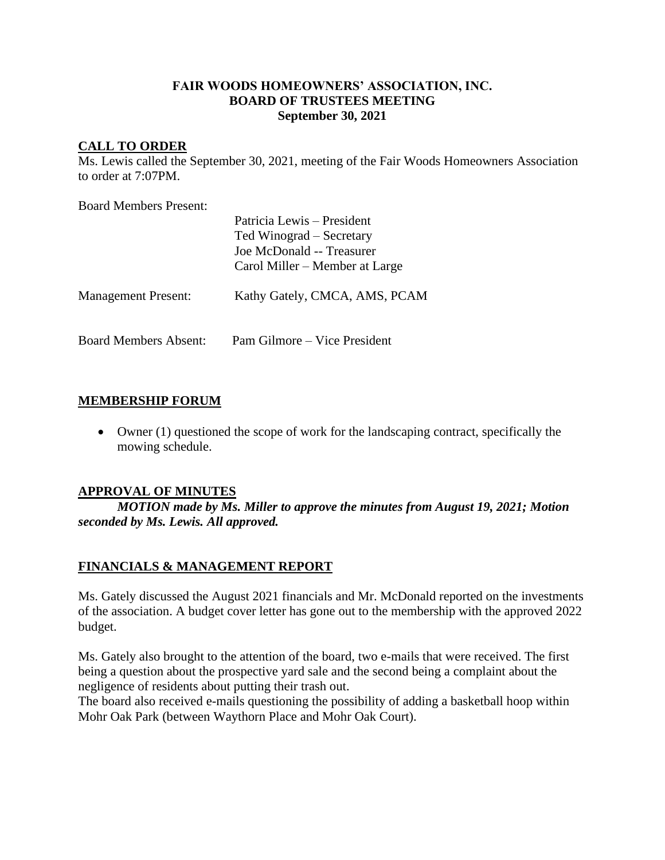# **FAIR WOODS HOMEOWNERS' ASSOCIATION, INC. BOARD OF TRUSTEES MEETING September 30, 2021**

# **CALL TO ORDER**

Ms. Lewis called the September 30, 2021, meeting of the Fair Woods Homeowners Association to order at 7:07PM.

Board Members Present:

|                              | Patricia Lewis – President<br>Ted Winograd – Secretary<br>Joe McDonald -- Treasurer<br>Carol Miller – Member at Large |
|------------------------------|-----------------------------------------------------------------------------------------------------------------------|
| <b>Management Present:</b>   | Kathy Gately, CMCA, AMS, PCAM                                                                                         |
| <b>Board Members Absent:</b> | Pam Gilmore – Vice President                                                                                          |

# **MEMBERSHIP FORUM**

• Owner (1) questioned the scope of work for the landscaping contract, specifically the mowing schedule.

## **APPROVAL OF MINUTES**

*MOTION made by Ms. Miller to approve the minutes from August 19, 2021; Motion seconded by Ms. Lewis. All approved.*

## **FINANCIALS & MANAGEMENT REPORT**

Ms. Gately discussed the August 2021 financials and Mr. McDonald reported on the investments of the association. A budget cover letter has gone out to the membership with the approved 2022 budget.

Ms. Gately also brought to the attention of the board, two e-mails that were received. The first being a question about the prospective yard sale and the second being a complaint about the negligence of residents about putting their trash out.

The board also received e-mails questioning the possibility of adding a basketball hoop within Mohr Oak Park (between Waythorn Place and Mohr Oak Court).